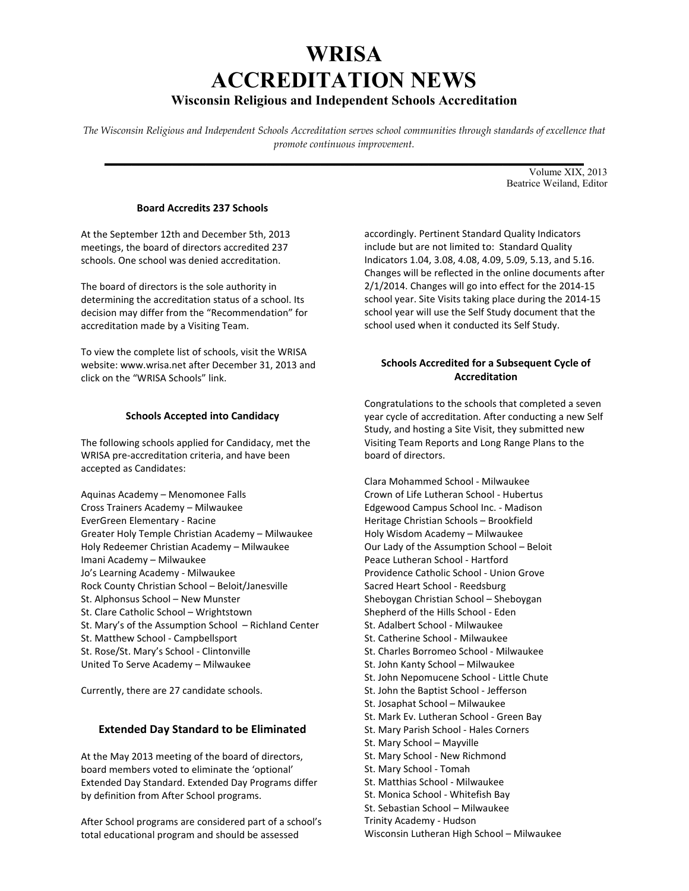# **WRISA ACCREDITATION NEWS Wisconsin Religious and Independent Schools Accreditation**

*The Wisconsin Religious and Independent Schools Accreditation serves school communities through standards of excellence that promote continuous improvement.* 

**\_\_\_\_\_\_\_\_\_\_\_\_\_\_\_\_\_\_\_\_\_\_\_\_\_\_\_\_\_\_\_\_\_\_\_\_\_\_\_\_\_\_\_\_\_\_\_\_\_\_\_\_\_\_\_\_\_\_\_\_\_\_\_\_\_\_\_\_\_\_\_**  Volume XIX, 2013 Beatrice Weiland, Editor

## **Board Accredits 237 Schools**

At the September 12th and December 5th, 2013 meetings, the board of directors accredited 237 schools. One school was denied accreditation.

The board of directors is the sole authority in determining the accreditation status of a school. Its decision may differ from the "Recommendation" for accreditation made by a Visiting Team.

To view the complete list of schools, visit the WRISA website: www.wrisa.net after December 31, 2013 and click on the "WRISA Schools" link.

## **Schools Accepted into Candidacy**

The following schools applied for Candidacy, met the WRISA pre-accreditation criteria, and have been accepted as Candidates:

Aquinas Academy – Menomonee Falls Cross Trainers Academy – Milwaukee EverGreen Elementary - Racine Greater Holy Temple Christian Academy – Milwaukee Holy Redeemer Christian Academy – Milwaukee Imani Academy – Milwaukee Jo's Learning Academy - Milwaukee Rock County Christian School – Beloit/Janesville St. Alphonsus School – New Munster St. Clare Catholic School – Wrightstown St. Mary's of the Assumption School – Richland Center St. Matthew School - Campbellsport St. Rose/St. Mary's School - Clintonville United To Serve Academy – Milwaukee

Currently, there are 27 candidate schools.

# **Extended Day Standard to be Eliminated**

At the May 2013 meeting of the board of directors, board members voted to eliminate the 'optional' Extended Day Standard. Extended Day Programs differ by definition from After School programs.

After School programs are considered part of a school's total educational program and should be assessed

accordingly. Pertinent Standard Quality Indicators include but are not limited to: Standard Quality Indicators 1.04, 3.08, 4.08, 4.09, 5.09, 5.13, and 5.16. Changes will be reflected in the online documents after 2/1/2014. Changes will go into effect for the 2014-15 school year. Site Visits taking place during the 2014-15 school year will use the Self Study document that the school used when it conducted its Self Study.

# **Schools Accredited for a Subsequent Cycle of Accreditation**

Congratulations to the schools that completed a seven year cycle of accreditation. After conducting a new Self Study, and hosting a Site Visit, they submitted new Visiting Team Reports and Long Range Plans to the board of directors.

Clara Mohammed School - Milwaukee Crown of Life Lutheran School - Hubertus Edgewood Campus School Inc. - Madison Heritage Christian Schools – Brookfield Holy Wisdom Academy – Milwaukee Our Lady of the Assumption School – Beloit Peace Lutheran School - Hartford Providence Catholic School - Union Grove Sacred Heart School - Reedsburg Sheboygan Christian School – Sheboygan Shepherd of the Hills School - Eden St. Adalbert School - Milwaukee St. Catherine School - Milwaukee St. Charles Borromeo School - Milwaukee St. John Kanty School – Milwaukee St. John Nepomucene School - Little Chute St. John the Baptist School - Jefferson St. Josaphat School – Milwaukee St. Mark Ev. Lutheran School - Green Bay St. Mary Parish School - Hales Corners St. Mary School – Mayville St. Mary School - New Richmond St. Mary School - Tomah St. Matthias School - Milwaukee St. Monica School - Whitefish Bay St. Sebastian School – Milwaukee Trinity Academy - Hudson Wisconsin Lutheran High School – Milwaukee